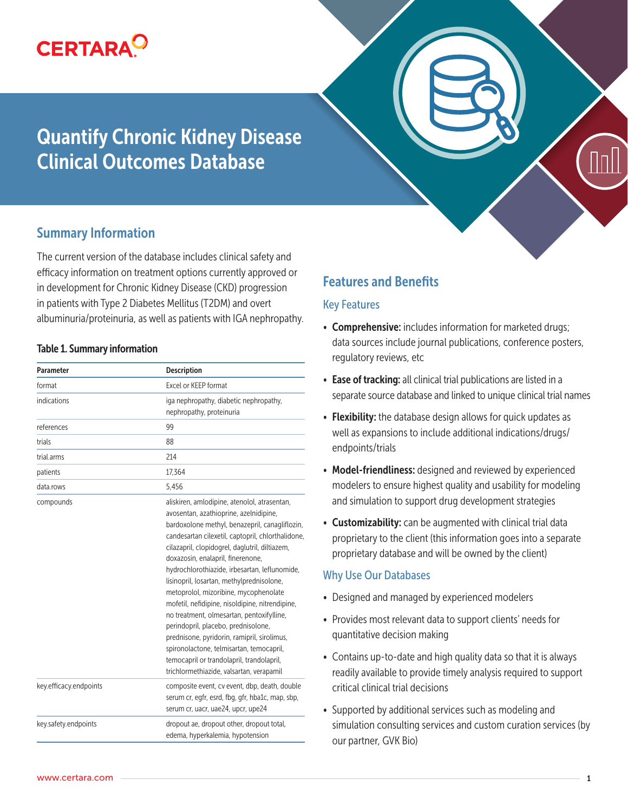

# Quantify Chronic Kidney Disease Clinical Outcomes Database



# Summary Information

The current version of the database includes clinical safety and efficacy information on treatment options currently approved or in development for Chronic Kidney Disease (CKD) progression in patients with Type 2 Diabetes Mellitus (T2DM) and overt albuminuria/proteinuria, as well as patients with IGA nephropathy.

#### Table 1. Summary information

| <b>Parameter</b>       | <b>Description</b>                                                                                                                                                                                                                                                                                                                                                                                                                                                                                                                                                                                                                                                                                                                                     |
|------------------------|--------------------------------------------------------------------------------------------------------------------------------------------------------------------------------------------------------------------------------------------------------------------------------------------------------------------------------------------------------------------------------------------------------------------------------------------------------------------------------------------------------------------------------------------------------------------------------------------------------------------------------------------------------------------------------------------------------------------------------------------------------|
| format                 | Excel or KEEP format                                                                                                                                                                                                                                                                                                                                                                                                                                                                                                                                                                                                                                                                                                                                   |
| indications            | iga nephropathy, diabetic nephropathy,<br>nephropathy, proteinuria                                                                                                                                                                                                                                                                                                                                                                                                                                                                                                                                                                                                                                                                                     |
| references             | 99                                                                                                                                                                                                                                                                                                                                                                                                                                                                                                                                                                                                                                                                                                                                                     |
| trials                 | 88                                                                                                                                                                                                                                                                                                                                                                                                                                                                                                                                                                                                                                                                                                                                                     |
| trial.arms             | 214                                                                                                                                                                                                                                                                                                                                                                                                                                                                                                                                                                                                                                                                                                                                                    |
| patients               | 17,364                                                                                                                                                                                                                                                                                                                                                                                                                                                                                                                                                                                                                                                                                                                                                 |
| data.rows              | 5.456                                                                                                                                                                                                                                                                                                                                                                                                                                                                                                                                                                                                                                                                                                                                                  |
| compounds              | aliskiren, amlodipine, atenolol, atrasentan,<br>avosentan, azathioprine, azelnidipine,<br>bardoxolone methyl, benazepril, canagliflozin,<br>candesartan cilexetil, captopril, chlorthalidone,<br>cilazapril, clopidogrel, daglutril, diltiazem,<br>doxazosin, enalapril, finerenone,<br>hydrochlorothiazide, irbesartan, leflunomide,<br>lisinopril, losartan, methylprednisolone,<br>metoprolol, mizoribine, mycophenolate<br>mofetil, nefidipine, nisoldipine, nitrendipine,<br>no treatment, olmesartan, pentoxifylline,<br>perindopril, placebo, prednisolone,<br>prednisone, pyridorin, ramipril, sirolimus,<br>spironolactone, telmisartan, temocapril,<br>temocapril or trandolapril, trandolapril,<br>trichlormethiazide, valsartan, verapamil |
| key.efficacy.endpoints | composite event, cv event, dbp, death, double<br>serum cr, egfr, esrd, fbg, gfr, hba1c, map, sbp,<br>serum cr, uacr, uae24, upcr, upe24                                                                                                                                                                                                                                                                                                                                                                                                                                                                                                                                                                                                                |
| key.safety.endpoints   | dropout ae, dropout other, dropout total,<br>edema, hyperkalemia, hypotension                                                                                                                                                                                                                                                                                                                                                                                                                                                                                                                                                                                                                                                                          |

# Features and Benefits

#### Key Features

- Comprehensive: includes information for marketed drugs; data sources include journal publications, conference posters, regulatory reviews, etc
- Ease of tracking: all clinical trial publications are listed in a separate source database and linked to unique clinical trial names
- Flexibility: the database design allows for quick updates as well as expansions to include additional indications/drugs/ endpoints/trials
- Model-friendliness: designed and reviewed by experienced modelers to ensure highest quality and usability for modeling and simulation to support drug development strategies
- Customizability: can be augmented with clinical trial data proprietary to the client (this information goes into a separate proprietary database and will be owned by the client)

#### Why Use Our Databases

- Designed and managed by experienced modelers
- Provides most relevant data to support clients' needs for quantitative decision making
- Contains up-to-date and high quality data so that it is always readily available to provide timely analysis required to support critical clinical trial decisions
- Supported by additional services such as modeling and simulation consulting services and custom curation services (by our partner, GVK Bio)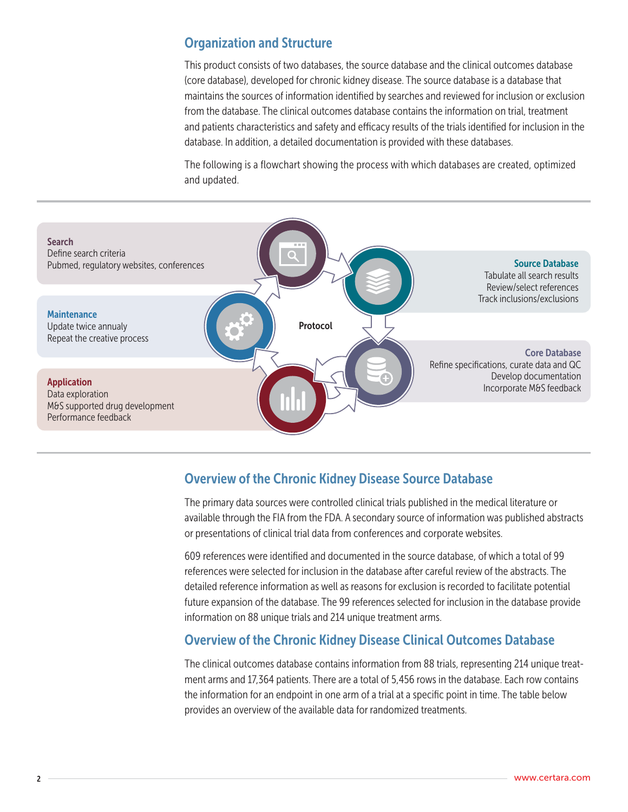## Organization and Structure

This product consists of two databases, the source database and the clinical outcomes database (core database), developed for chronic kidney disease. The source database is a database that maintains the sources of information identified by searches and reviewed for inclusion or exclusion from the database. The clinical outcomes database contains the information on trial, treatment and patients characteristics and safety and efficacy results of the trials identified for inclusion in the database. In addition, a detailed documentation is provided with these databases.

The following is a flowchart showing the process with which databases are created, optimized and updated.



## Overview of the Chronic Kidney Disease Source Database

The primary data sources were controlled clinical trials published in the medical literature or available through the FIA from the FDA. A secondary source of information was published abstracts or presentations of clinical trial data from conferences and corporate websites.

609 references were identified and documented in the source database, of which a total of 99 references were selected for inclusion in the database after careful review of the abstracts. The detailed reference information as well as reasons for exclusion is recorded to facilitate potential future expansion of the database. The 99 references selected for inclusion in the database provide information on 88 unique trials and 214 unique treatment arms.

# Overview of the Chronic Kidney Disease Clinical Outcomes Database

The clinical outcomes database contains information from 88 trials, representing 214 unique treatment arms and 17,364 patients. There are a total of 5,456 rows in the database. Each row contains the information for an endpoint in one arm of a trial at a specific point in time. The table below provides an overview of the available data for randomized treatments.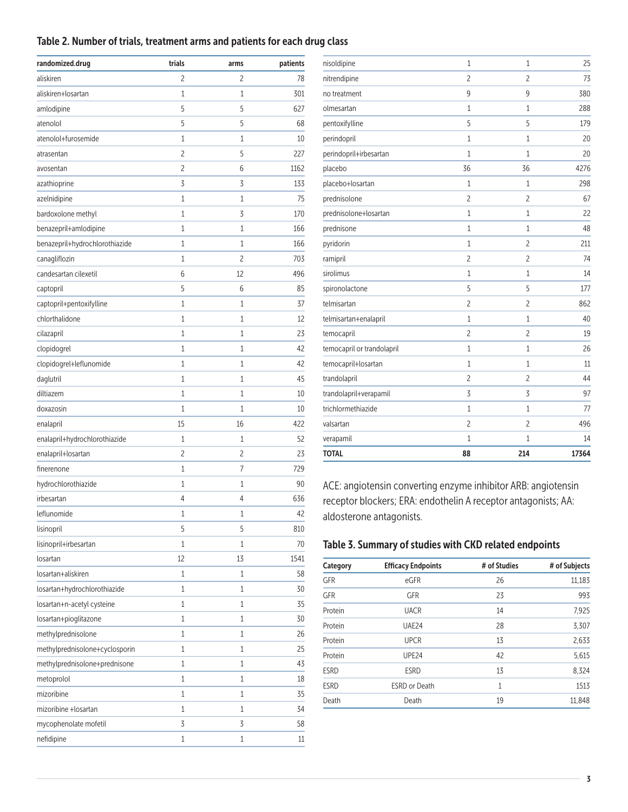#### Table 2. Number of trials, treatment arms and patients for each drug class

| randomized.drug                | trials | arms | patients |
|--------------------------------|--------|------|----------|
| aliskiren                      | 2      | 2    | 78       |
| aliskiren+losartan             | 1      | 1    | 301      |
| amlodipine                     | 5      | 5    | 627      |
| atenolol                       | 5      | 5    | 68       |
| atenolol+furosemide            | 1      | 1    | 10       |
| atrasentan                     | 2      | 5    | 227      |
| avosentan                      | 2      | 6    | 1162     |
| azathioprine                   | 3      | 3    | 133      |
| azelnidipine                   | 1      | 1    | 75       |
| bardoxolone methyl             | 1      | 3    | 170      |
| benazepril+amlodipine          | 1      | 1    | 166      |
| benazepril+hydrochlorothiazide | 1      | 1    | 166      |
| canagliflozin                  | 1      | 2    | 703      |
| candesartan cilexetil          | 6      | 12   | 496      |
| captopril                      | 5      | 6    | 85       |
| captopril+pentoxifylline       | 1      | 1    | 37       |
| chlorthalidone                 | 1      | 1    | 12       |
| cilazapril                     | 1      | 1    | 23       |
| clopidogrel                    | 1      | 1    | 42       |
| clopidogrel+leflunomide        | 1      | 1    | 42       |
| daglutril                      | 1      | 1    | 45       |
| diltiazem                      | 1      | 1    | 10       |
| doxazosin                      | 1      | 1    | 10       |
| enalapril                      | 15     | 16   | 422      |
| enalapril+hydrochlorothiazide  | 1      | 1    | 52       |
| enalapril+losartan             | 2      | 2    | 23       |
| finerenone                     | 1      | 7    | 729      |
| hydrochlorothiazide            | 1      | 1    | 90       |
| irbesartan                     | 4      | 4    | 636      |
| leflunomide                    | 1      | 1    | 42       |
| lisinopril                     | 5      | 5    | 810      |
| lisinopril+irbesartan          | 1      | 1    | 70       |
| losartan                       | 12     | 13   | 1541     |
| losartan+aliskiren             | 1      | 1    | 58       |
| losartan+hydrochlorothiazide   | 1      | 1    | 30       |
| losartan+n-acetyl cysteine     | 1      | 1    | 35       |
| losartan+pioglitazone          | 1      | 1    | 30       |
| methylprednisolone             | 1      | 1    | 26       |
| methylprednisolone+cyclosporin | 1      | 1    | 25       |
| methylprednisolone+prednisone  | 1      | 1    | 43       |
| metoprolol                     | 1      | 1    | 18       |
| mizoribine                     | 1      | 1    | 35       |
| mizoribine +losartan           | 1      | 1    | 34       |
| mycophenolate mofetil          | 3      | 3    | 58       |
| nefidipine                     | 1      | 1    | 11       |

| <b>TOTAL</b>               | 88             | 214            | 17364 |
|----------------------------|----------------|----------------|-------|
| verapamil                  | 1              | $\mathbf{1}$   | 14    |
| valsartan                  | $\overline{c}$ | $\overline{c}$ | 496   |
| trichlormethiazide         | $\mathbf{1}$   | 1              | 77    |
| trandolapril+verapamil     | 3              | 3              | 97    |
| trandolapril               | $\overline{c}$ | $\overline{c}$ | 44    |
| temocapril+losartan        | $\mathbf{1}$   | 1              | 11    |
| temocapril or trandolapril | $\mathbf{1}$   | 1              | 26    |
| temocapril                 | $\overline{c}$ | $\overline{c}$ | 19    |
| telmisartan+enalapril      | $\mathbf{1}$   | $\mathbf{1}$   | 40    |
| telmisartan                | $\overline{c}$ | $\overline{c}$ | 862   |
| spironolactone             | 5              | 5              | 177   |
| sirolimus                  | $\mathbf{1}$   | $\mathbf{1}$   | 14    |
| ramipril                   | $\overline{c}$ | $\overline{c}$ | 74    |
| pyridorin                  | $\mathbf{1}$   | $\overline{c}$ | 211   |
| prednisone                 | $\mathbf{1}$   | 1              | 48    |
| prednisolone+losartan      | $\mathbf{1}$   | $\mathbf{1}$   | 22    |
| prednisolone               | $\overline{c}$ | $\overline{c}$ | 67    |
| placebo+losartan           | $\mathbf{1}$   | $\mathbf{1}$   | 298   |
| placebo                    | 36             | 36             | 4276  |
| perindopril+irbesartan     | $\mathbf{1}$   | 1              | 20    |
| perindopril                | $\mathbf{1}$   | 1              | 20    |
| pentoxifylline             | 5              | 5              | 179   |
| olmesartan                 | 1              | 1              | 288   |
| no treatment               | 9              | 9              | 380   |
| nitrendipine               | $\overline{c}$ | $\overline{c}$ | 73    |
| nisoldipine                | $\mathbf{1}$   | 1              | 25    |

ACE: angiotensin converting enzyme inhibitor ARB: angiotensin receptor blockers; ERA: endothelin A receptor antagonists; AA: aldosterone antagonists.

## Table 3. Summary of studies with CKD related endpoints

| Category    | <b>Efficacy Endpoints</b> | # of Studies | # of Subjects |
|-------------|---------------------------|--------------|---------------|
| <b>GFR</b>  | eGFR                      | 26           | 11,183        |
| <b>GFR</b>  | <b>GFR</b>                | 23           | 993           |
| Protein     | <b>UACR</b>               | 14           | 7,925         |
| Protein     | UAE24                     | 28           | 3,307         |
| Protein     | <b>UPCR</b>               | 13           | 2,633         |
| Protein     | UPE <sub>24</sub>         | 42           | 5,615         |
| <b>ESRD</b> | <b>ESRD</b>               | 13           | 8,324         |
| <b>ESRD</b> | <b>ESRD or Death</b>      | 1            | 1513          |
| Death       | Death                     | 19           | 11,848        |